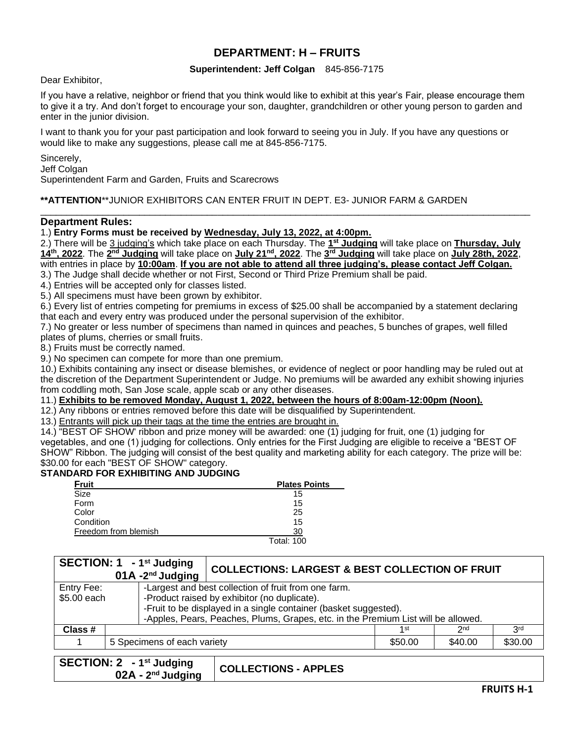# **DEPARTMENT: H – FRUITS**

### **Superintendent: Jeff Colgan** 845-856-7175

Dear Exhibitor,

If you have a relative, neighbor or friend that you think would like to exhibit at this year's Fair, please encourage them to give it a try. And don't forget to encourage your son, daughter, grandchildren or other young person to garden and enter in the junior division.

I want to thank you for your past participation and look forward to seeing you in July. If you have any questions or would like to make any suggestions, please call me at 845-856-7175.

Sincerely,

Jeff Colgan

Superintendent Farm and Garden, Fruits and Scarecrows

### **\*\*ATTENTION**\*\*JUNIOR EXHIBITORS CAN ENTER FRUIT IN DEPT. E3- JUNIOR FARM & GARDEN

#### **Department Rules:**

1.) **Entry Forms must be received by Wednesday, July 13, 2022, at 4:00pm.**

2.) There will be 3 judging's which take place on each Thursday. The **1 st Judging** will take place on **Thursday, July 14 th , 2022**. The **2 nd Judging** will take place on **July 21 nd, 2022**. The **3 rd Judging** will take place on **July 28th, 2022**, with entries in place by **10:00am**. **If you are not able to attend all three judging's, please contact Jeff Colgan.**

 $\_$  ,  $\_$  ,  $\_$  ,  $\_$  ,  $\_$  ,  $\_$  ,  $\_$  ,  $\_$  ,  $\_$  ,  $\_$  ,  $\_$  ,  $\_$  ,  $\_$  ,  $\_$  ,  $\_$  ,  $\_$  ,  $\_$  ,  $\_$  ,  $\_$  ,  $\_$  ,  $\_$  ,  $\_$  ,  $\_$  ,  $\_$  ,  $\_$  ,  $\_$  ,  $\_$  ,  $\_$  ,  $\_$  ,  $\_$  ,  $\_$  ,  $\_$  ,  $\_$  ,  $\_$  ,  $\_$  ,  $\_$  ,  $\_$  ,

3.) The Judge shall decide whether or not First, Second or Third Prize Premium shall be paid.

4.) Entries will be accepted only for classes listed.

5.) All specimens must have been grown by exhibitor.

6.) Every list of entries competing for premiums in excess of \$25.00 shall be accompanied by a statement declaring that each and every entry was produced under the personal supervision of the exhibitor.

7.) No greater or less number of specimens than named in quinces and peaches, 5 bunches of grapes, well filled plates of plums, cherries or small fruits.

8.) Fruits must be correctly named.

9.) No specimen can compete for more than one premium.

10.) Exhibits containing any insect or disease blemishes, or evidence of neglect or poor handling may be ruled out at the discretion of the Department Superintendent or Judge. No premiums will be awarded any exhibit showing injuries from coddling moth, San Jose scale, apple scab or any other diseases.

### 11.) **Exhibits to be removed Monday, August 1, 2022, between the hours of 8:00am-12:00pm (Noon).**

12.) Any ribbons or entries removed before this date will be disqualified by Superintendent.

13.) Entrants will pick up their tags at the time the entries are brought in.

14.) "BEST OF SHOW' ribbon and prize money will be awarded: one (1) judging for fruit, one (1) judging for vegetables, and one (1) judging for collections. Only entries for the First Judging are eligible to receive a "BEST OF SHOW" Ribbon. The judging will consist of the best quality and marketing ability for each category. The prize will be: \$30.00 for each "BEST OF SHOW" category.

### **STANDARD FOR EXHIBITING AND JUDGING**

| Fruit                | <b>Plates Points</b> |
|----------------------|----------------------|
| Size                 | 15                   |
| Form                 | 15                   |
| Color                | 25                   |
| Condition            | 15                   |
| Freedom from blemish | 30                   |
|                      | <b>Total: 100</b>    |

**SECTION: 1 - 1 st Judging 01A -2 COLLECTIONS: LARGEST & BEST COLLECTION OF FRUIT** Entry Fee: \$5.00 each -Largest and best collection of fruit from one farm. -Product raised by exhibitor (no duplicate). -Fruit to be displayed in a single container (basket suggested). -Apples, Pears, Peaches, Plums, Grapes, etc. in the Premium List will be allowed.<br>  $\frac{1}{1^{st}}$ **Class #** 1 st  $\vert$  2  $2<sub>nd</sub>$ 3rd 1 5 Specimens of each variety **1 Absolute 1 S50.00**  $\uparrow$  \$40.00  $\uparrow$  \$30.00

| SECTION: 2 - 1 <sup>st</sup> Judging | COLLECTIONS - APPLES |
|--------------------------------------|----------------------|
| $02A - 2nd$ Judging                  |                      |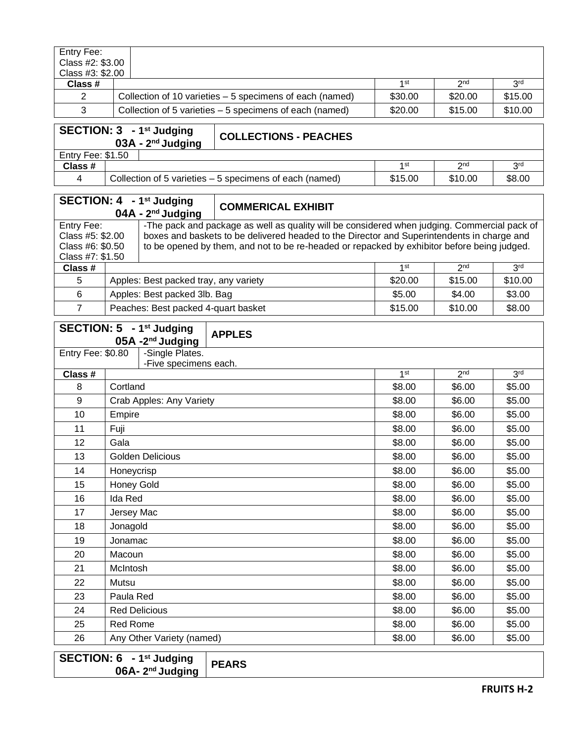| Entry Fee:       |                                                                                           |         |         |         |
|------------------|-------------------------------------------------------------------------------------------|---------|---------|---------|
| Class #2: \$3.00 |                                                                                           |         |         |         |
| Class #3: \$2.00 |                                                                                           |         |         |         |
| Class #          | 3 <sup>rd</sup><br>1 <sub>st</sub><br>2 <sub>nd</sub>                                     |         |         |         |
| 2                | \$15.00<br>Collection of 10 varieties – 5 specimens of each (named)<br>\$30.00<br>\$20.00 |         |         |         |
| 3                | Collection of 5 varieties - 5 specimens of each (named)                                   | \$20.00 | \$15.00 | \$10.00 |

## **SECTION: 3 - 1 st Judging 03A - 2**

**nd Judging COLLECTIONS - PEACHES**

| Entry Fee: | \$1.50                                                  |                 |            |        |
|------------|---------------------------------------------------------|-----------------|------------|--------|
| Class #    |                                                         | 1 <sub>st</sub> | <b>Ond</b> | 2r     |
|            | Collection of 5 varieties – 5 specimens of each (named) | \$15.00         | \$10.00    | \$8.00 |

|                                                                        |                                       | SECTION: 4 - 1 <sup>st</sup> Judging<br>$04A - 2^{nd}$ Judging | <b>COMMERICAL EXHIBIT</b>                                                                                                                                                                                                                                                                 |         |                 |                 |
|------------------------------------------------------------------------|---------------------------------------|----------------------------------------------------------------|-------------------------------------------------------------------------------------------------------------------------------------------------------------------------------------------------------------------------------------------------------------------------------------------|---------|-----------------|-----------------|
| Entry Fee:<br>Class #5: \$2.00<br>Class #6: \$0.50<br>Class #7: \$1.50 |                                       |                                                                | -The pack and package as well as quality will be considered when judging. Commercial pack of<br>boxes and baskets to be delivered headed to the Director and Superintendents in charge and<br>to be opened by them, and not to be re-headed or repacked by exhibitor before being judged. |         |                 |                 |
| Class #                                                                |                                       |                                                                |                                                                                                                                                                                                                                                                                           | 1st     | 2 <sub>nd</sub> | 3 <sup>rd</sup> |
| 5                                                                      | Apples: Best packed tray, any variety |                                                                | \$20.00                                                                                                                                                                                                                                                                                   | \$15.00 | \$10.00         |                 |
| 6                                                                      |                                       | \$5.00<br>Apples: Best packed 3lb. Bag<br>\$4.00               |                                                                                                                                                                                                                                                                                           | \$3.00  |                 |                 |
|                                                                        |                                       | Peaches: Best packed 4-quart basket<br>\$10.00<br>\$15.00      |                                                                                                                                                                                                                                                                                           | \$8.00  |                 |                 |

|                   | SECTION: 5 - 1st Judging<br>$05A - 2^{nd}$ Judging | <b>APPLES</b> |                 |                 |                 |
|-------------------|----------------------------------------------------|---------------|-----------------|-----------------|-----------------|
| Entry Fee: \$0.80 | -Single Plates.                                    |               |                 |                 |                 |
|                   | -Five specimens each.                              |               | 1 <sup>st</sup> | 2 <sub>nd</sub> | 3 <sub>rd</sub> |
| Class #<br>8      | Cortland                                           |               | \$8.00          | \$6.00          | \$5.00          |
|                   |                                                    |               |                 |                 |                 |
| 9                 | Crab Apples: Any Variety                           |               | \$8.00          | \$6.00          | \$5.00          |
| 10                | Empire                                             |               | \$8.00          | \$6.00          | \$5.00          |
| 11                | Fuji                                               |               | \$8.00          | \$6.00          | \$5.00          |
| 12                | Gala                                               |               | \$8.00          | \$6.00          | \$5.00          |
| 13                | <b>Golden Delicious</b>                            |               | \$8.00          | \$6.00          | \$5.00          |
| 14                | Honeycrisp                                         |               | \$8.00          | \$6.00          | \$5.00          |
| 15                | Honey Gold                                         |               | \$8.00          | \$6.00          | \$5.00          |
| 16                | Ida Red                                            |               | \$8.00          | \$6.00          | \$5.00          |
| 17                | Jersey Mac                                         |               | \$8.00          | \$6.00          | \$5.00          |
| 18                | Jonagold                                           |               | \$8.00          | \$6.00          | \$5.00          |
| 19                | Jonamac                                            |               | \$8.00          | \$6.00          | \$5.00          |
| 20                | Macoun                                             |               | \$8.00          | \$6.00          | \$5.00          |
| 21                | McIntosh                                           |               | \$8.00          | \$6.00          | \$5.00          |
| 22                | Mutsu                                              |               | \$8.00          | \$6.00          | \$5.00          |
| 23                | Paula Red                                          |               | \$8.00          | \$6.00          | \$5.00          |
| 24                | <b>Red Delicious</b>                               |               | \$8.00          | \$6.00          | \$5.00          |
| 25                | <b>Red Rome</b>                                    | \$8.00        | \$6.00          | \$5.00          |                 |
| 26                | Any Other Variety (named)                          |               | \$8.00          | \$6.00          | \$5.00          |
|                   | <b>CEOTION</b> , C. Act Leaders                    |               |                 |                 |                 |

| SECTION: 6 - 1 <sup>st</sup> Judging | <b>PEARS</b> |
|--------------------------------------|--------------|
| $06A - 2nd$ Judging                  |              |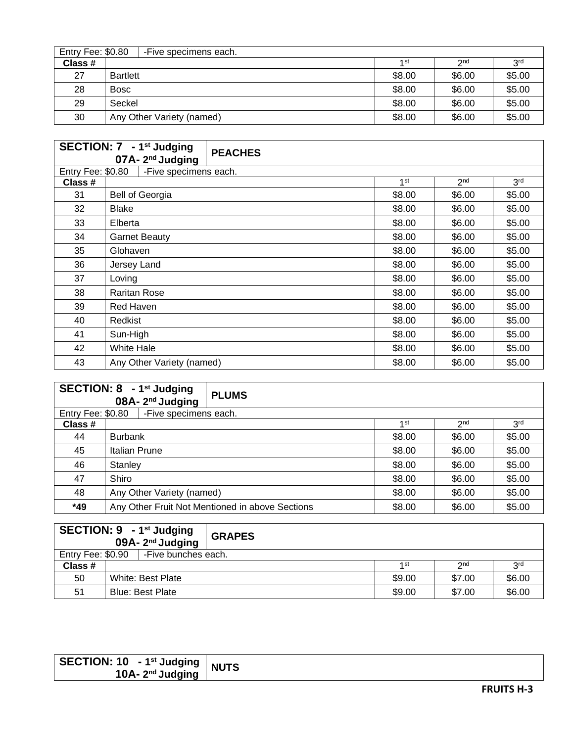|         | <b>Entry Fee: \$0.80</b><br>-Five specimens each. |                 |                 |                 |  |  |
|---------|---------------------------------------------------|-----------------|-----------------|-----------------|--|--|
| Class # |                                                   | 1 <sub>st</sub> | 2 <sub>nd</sub> | 3 <sup>rd</sup> |  |  |
| 27      | <b>Bartlett</b>                                   | \$8.00          | \$6.00          | \$5.00          |  |  |
| 28      | <b>Bosc</b>                                       | \$8.00          | \$6.00          | \$5.00          |  |  |
| 29      | Seckel                                            | \$8.00          | \$6.00          | \$5.00          |  |  |
| 30      | Any Other Variety (named)                         | \$8.00          | \$6.00          | \$5.00          |  |  |

|                   | SECTION: 7 - 1 <sup>st</sup> Judging<br><b>PEACHES</b><br>$07A - 2^{nd}$ Judging |  |        |                 |                 |
|-------------------|----------------------------------------------------------------------------------|--|--------|-----------------|-----------------|
| Entry Fee: \$0.80 | -Five specimens each.                                                            |  |        |                 |                 |
| Class #           |                                                                                  |  | 1st    | 2 <sub>nd</sub> | 3 <sup>rd</sup> |
| 31                | <b>Bell of Georgia</b>                                                           |  | \$8.00 | \$6.00          | \$5.00          |
| 32                | <b>Blake</b>                                                                     |  | \$8.00 | \$6.00          | \$5.00          |
| 33                | Elberta                                                                          |  | \$8.00 | \$6.00          | \$5.00          |
| 34                | <b>Garnet Beauty</b>                                                             |  | \$8.00 | \$6.00          | \$5.00          |
| 35                | Glohaven                                                                         |  | \$8.00 | \$6.00          | \$5.00          |
| 36                | Jersey Land                                                                      |  | \$8.00 | \$6.00          | \$5.00          |
| 37                | Loving                                                                           |  | \$8.00 | \$6.00          | \$5.00          |
| 38                | <b>Raritan Rose</b>                                                              |  | \$8.00 | \$6.00          | \$5.00          |
| 39                | Red Haven                                                                        |  | \$8.00 | \$6.00          | \$5.00          |
| 40                | Redkist                                                                          |  | \$8.00 | \$6.00          | \$5.00          |
| 41                | Sun-High                                                                         |  | \$8.00 | \$6.00          | \$5.00          |
| 42                | White Hale                                                                       |  | \$8.00 | \$6.00          | \$5.00          |
| 43                | Any Other Variety (named)                                                        |  | \$8.00 | \$6.00          | \$5.00          |

|         |                                            | <b>SECTION: 8 - 1st Judging</b><br>08A-2 <sup>nd</sup> Judging | <b>PLUMS</b>                                    |        |        |                 |                 |
|---------|--------------------------------------------|----------------------------------------------------------------|-------------------------------------------------|--------|--------|-----------------|-----------------|
|         | -Five specimens each.<br>Entry Fee: \$0.80 |                                                                |                                                 |        |        |                 |                 |
| Class # |                                            |                                                                |                                                 |        | 1st    | 2 <sub>nd</sub> | 3 <sup>rd</sup> |
| 44      |                                            | <b>Burbank</b>                                                 |                                                 |        | \$8.00 | \$6.00          | \$5.00          |
| 45      | Italian Prune                              |                                                                |                                                 | \$8.00 | \$6.00 | \$5.00          |                 |
| 46      | Stanley                                    |                                                                |                                                 | \$8.00 | \$6.00 | \$5.00          |                 |
| 47      | Shiro                                      |                                                                |                                                 |        | \$8.00 | \$6.00          | \$5.00          |
| 48      | Any Other Variety (named)                  |                                                                |                                                 | \$8.00 | \$6.00 | \$5.00          |                 |
| *49     |                                            |                                                                | Any Other Fruit Not Mentioned in above Sections |        | \$8.00 | \$6.00          | \$5.00          |

|                   | SECTION: 9 - 1 <sup>st</sup> Judging<br>$09A - 2^{nd}$ Judging | <b>GRAPES</b> |                 |                 |                 |
|-------------------|----------------------------------------------------------------|---------------|-----------------|-----------------|-----------------|
| Entry Fee: \$0.90 | -Five bunches each.                                            |               |                 |                 |                 |
| Class #           |                                                                |               | 1 <sub>st</sub> | 2 <sub>nd</sub> | 3 <sup>rd</sup> |
| 50                | White: Best Plate                                              |               | \$9.00          | \$7.00          | \$6.00          |
| 51                | <b>Blue: Best Plate</b>                                        |               | \$9.00          | \$7.00          | \$6.00          |

| SECTION: 10 - 1 <sup>st</sup> Judging<br>10A- $2nd$ Judging | <b>NUTS</b> |
|-------------------------------------------------------------|-------------|
|                                                             |             |